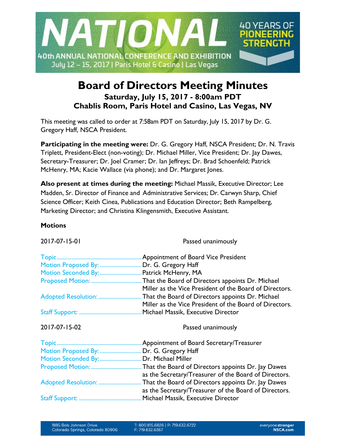

# **Board of Directors Meeting Minutes Saturday, July 15, 2017 - 8:00am PDT Chablis Room, Paris Hotel and Casino, Las Vegas, NV**

This meeting was called to order at 7:58am PDT on Saturday, July 15, 2017 by Dr. G. Gregory Haff, NSCA President.

**Participating in the meeting were:** Dr. G. Gregory Haff, NSCA President; Dr. N. Travis Triplett, President-Elect (non-voting); Dr. Michael Miller, Vice President; Dr. Jay Dawes, Secretary-Treasurer; Dr. Joel Cramer; Dr. Ian Jeffreys; Dr. Brad Schoenfeld; Patrick McHenry, MA; Kacie Wallace (via phone); and Dr. Margaret Jones.

**Also present at times during the meeting:** Michael Massik, Executive Director; Lee Madden, Sr. Director of Finance and Administrative Services; Dr. Carwyn Sharp, Chief Science Officer; Keith Cinea, Publications and Education Director; Beth Rampelberg, Marketing Director; and Christina Klingensmith, Executive Assistant.

## **Motions**

Passed unanimously

|                                          | Appointment of Board Vice President                     |
|------------------------------------------|---------------------------------------------------------|
| Motion Proposed By:                      | Dr. G. Gregory Haff                                     |
| Motion Seconded By:                      | Patrick McHenry, MA                                     |
|                                          | . That the Board of Directors appoints Dr. Michael      |
|                                          | Miller as the Vice President of the Board of Directors. |
|                                          | That the Board of Directors appoints Dr. Michael        |
|                                          | Miller as the Vice President of the Board of Directors. |
|                                          | Michael Massik, Executive Director                      |
|                                          |                                                         |
|                                          |                                                         |
| 2017-07-15-02                            | Passed unanimously                                      |
|                                          |                                                         |
|                                          | Appointment of Board Secretary/Treasurer                |
| Motion Proposed By:  Dr. G. Gregory Haff |                                                         |
| Motion Seconded By:  Dr. Michael Miller  |                                                         |
|                                          | That the Board of Directors appoints Dr. Jay Dawes      |
|                                          | as the Secretary/Treasurer of the Board of Directors.   |
|                                          | That the Board of Directors appoints Dr. Jay Dawes      |
|                                          | as the Secretary/Treasurer of the Board of Directors.   |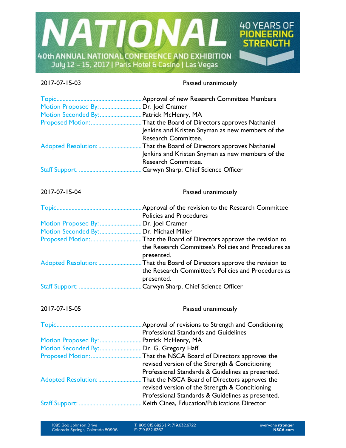

2017-07-15-03 Passed unanimously

| Motion Proposed By:  Dr. Joel Cramer    | Motion Seconded By:  Patrick McHenry, MA<br>Jenkins and Kristen Snyman as new members of the<br>Research Committee.         |
|-----------------------------------------|-----------------------------------------------------------------------------------------------------------------------------|
| Adopted Resolution:                     | . That the Board of Directors approves Nathaniel<br>Jenkins and Kristen Snyman as new members of the<br>Research Committee. |
|                                         |                                                                                                                             |
| 2017-07-15-04                           | Passed unanimously                                                                                                          |
|                                         | <b>Policies and Procedures</b>                                                                                              |
| Motion Proposed By: Dr. Joel Cramer     |                                                                                                                             |
| Motion Seconded By:  Dr. Michael Miller |                                                                                                                             |
|                                         | the Research Committee's Policies and Procedures as<br>presented.                                                           |
|                                         | the Research Committee's Policies and Procedures as<br>presented.                                                           |
|                                         |                                                                                                                             |
| 2017-07-15-05                           | Passed unanimously                                                                                                          |
|                                         | Professional Standards and Guidelines                                                                                       |
|                                         | Motion Proposed By:  Patrick McHenry, MA                                                                                    |
|                                         | Motion Seconded By: Dr. G. Gregory Haff                                                                                     |
|                                         |                                                                                                                             |
|                                         | revised version of the Strength & Conditioning                                                                              |
|                                         | Professional Standards & Guidelines as presented.                                                                           |
| Adopted Resolution:                     | . That the NSCA Board of Directors approves the                                                                             |
|                                         | revised version of the Strength & Conditioning                                                                              |
|                                         | Professional Standards & Guidelines as presented.                                                                           |
|                                         |                                                                                                                             |